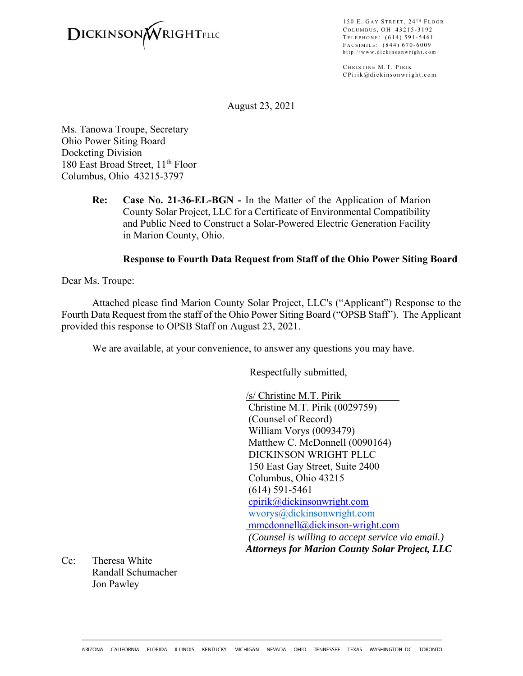

150 E. GAY STREET,  $24$ <sup>TH</sup> FLOOR COLUMBUS, OH 43215-3192 TELEPHONE: (614) 591-5461 F ACSIMILE : (844) 670-6009 http://www.dickinsonwright.com

CHRISTINE M.T. PIRIK CPirik@dickinsonwright.com

August 23, 2021

Ms. Tanowa Troupe, Secretary Ohio Power Siting Board Docketing Division 180 East Broad Street, 11<sup>th</sup> Floor Columbus, Ohio 43215-3797

> **Re: Case No. 21-36-EL-BGN -** In the Matter of the Application of Marion County Solar Project, LLC for a Certificate of Environmental Compatibility and Public Need to Construct a Solar-Powered Electric Generation Facility in Marion County, Ohio.

#### **Response to Fourth Data Request from Staff of the Ohio Power Siting Board**

Dear Ms. Troupe:

Attached please find Marion County Solar Project, LLC's ("Applicant") Response to the Fourth Data Request from the staff of the Ohio Power Siting Board ("OPSB Staff"). The Applicant provided this response to OPSB Staff on August 23, 2021.

We are available, at your convenience, to answer any questions you may have.

Respectfully submitted,

/s/ Christine M.T. Pirik Christine M.T. Pirik (0029759) (Counsel of Record) William Vorys (0093479) Matthew C. McDonnell (0090164) DICKINSON WRIGHT PLLC 150 East Gay Street, Suite 2400 Columbus, Ohio 43215 (614) 591-5461 cpirik@dickinsonwright.com wvorys@dickinsonwright.com mmcdonnell@dickinson-wright.com  *(Counsel is willing to accept service via email.) Attorneys for Marion County Solar Project, LLC*

Cc: Theresa White Randall Schumacher Jon Pawley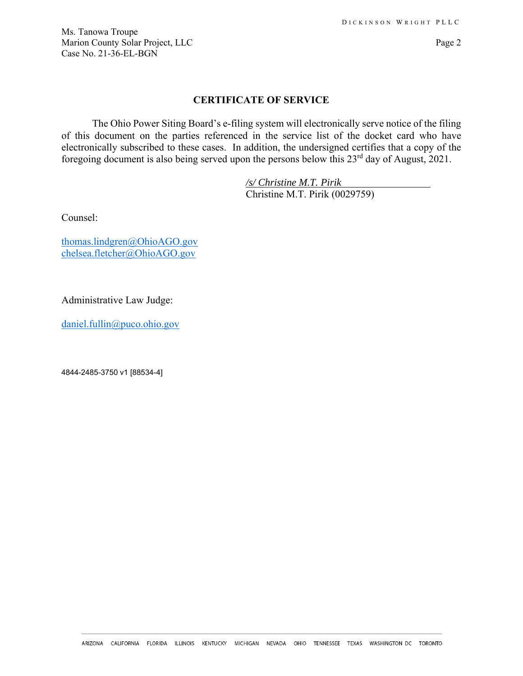Ms. Tanowa Troupe Marion County Solar Project, LLC Page 2 Case No. 21-36-EL-BGN

#### **CERTIFICATE OF SERVICE**

The Ohio Power Siting Board's e-filing system will electronically serve notice of the filing of this document on the parties referenced in the service list of the docket card who have electronically subscribed to these cases. In addition, the undersigned certifies that a copy of the foregoing document is also being served upon the persons below this 23<sup>rd</sup> day of August, 2021.

> */s/ Christine M.T. Pirik*  Christine M.T. Pirik (0029759)

Counsel:

thomas.lindgren@OhioAGO.gov chelsea.fletcher@OhioAGO.gov

Administrative Law Judge:

daniel.fullin@puco.ohio.gov

4844-2485-3750 v1 [88534-4]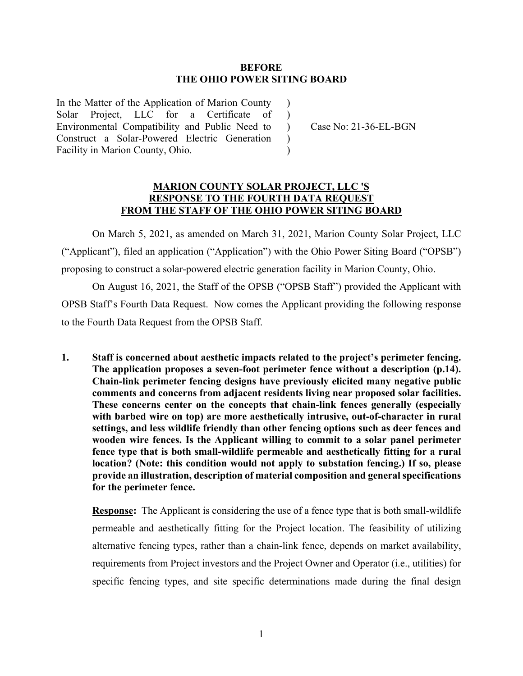#### **BEFORE THE OHIO POWER SITING BOARD**

)  $\lambda$ 

 $\lambda$ )

In the Matter of the Application of Marion County Solar Project, LLC for a Certificate of Environmental Compatibility and Public Need to Construct a Solar-Powered Electric Generation Facility in Marion County, Ohio.

) Case No: 21-36-EL-BGN

#### **MARION COUNTY SOLAR PROJECT, LLC 'S RESPONSE TO THE FOURTH DATA REQUEST FROM THE STAFF OF THE OHIO POWER SITING BOARD**

 On March 5, 2021, as amended on March 31, 2021, Marion County Solar Project, LLC ("Applicant"), filed an application ("Application") with the Ohio Power Siting Board ("OPSB") proposing to construct a solar-powered electric generation facility in Marion County, Ohio.

 On August 16, 2021, the Staff of the OPSB ("OPSB Staff") provided the Applicant with OPSB Staff's Fourth Data Request. Now comes the Applicant providing the following response to the Fourth Data Request from the OPSB Staff.

**1. Staff is concerned about aesthetic impacts related to the project's perimeter fencing. The application proposes a seven-foot perimeter fence without a description (p.14). Chain-link perimeter fencing designs have previously elicited many negative public comments and concerns from adjacent residents living near proposed solar facilities. These concerns center on the concepts that chain-link fences generally (especially with barbed wire on top) are more aesthetically intrusive, out-of-character in rural settings, and less wildlife friendly than other fencing options such as deer fences and wooden wire fences. Is the Applicant willing to commit to a solar panel perimeter fence type that is both small-wildlife permeable and aesthetically fitting for a rural location? (Note: this condition would not apply to substation fencing.) If so, please provide an illustration, description of material composition and general specifications for the perimeter fence.**

**Response:** The Applicant is considering the use of a fence type that is both small-wildlife permeable and aesthetically fitting for the Project location. The feasibility of utilizing alternative fencing types, rather than a chain-link fence, depends on market availability, requirements from Project investors and the Project Owner and Operator (i.e., utilities) for specific fencing types, and site specific determinations made during the final design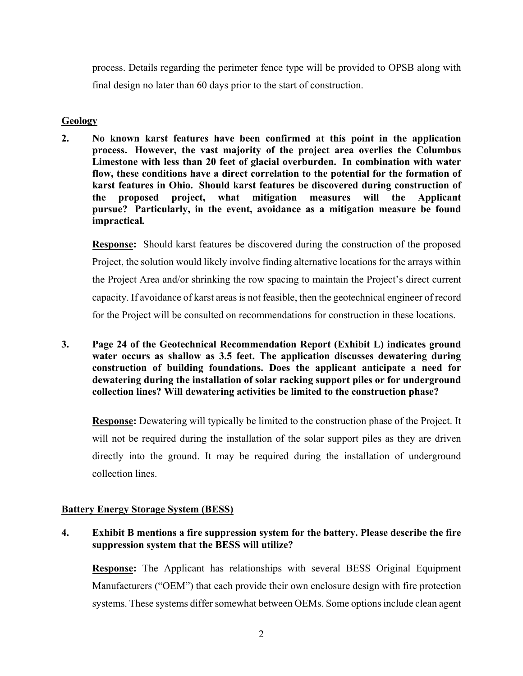process. Details regarding the perimeter fence type will be provided to OPSB along with final design no later than 60 days prior to the start of construction.

## **Geology**

**2. No known karst features have been confirmed at this point in the application process. However, the vast majority of the project area overlies the Columbus Limestone with less than 20 feet of glacial overburden. In combination with water flow, these conditions have a direct correlation to the potential for the formation of karst features in Ohio. Should karst features be discovered during construction of the proposed project, what mitigation measures will the Applicant pursue? Particularly, in the event, avoidance as a mitigation measure be found impractical***.* 

**Response:** Should karst features be discovered during the construction of the proposed Project, the solution would likely involve finding alternative locations for the arrays within the Project Area and/or shrinking the row spacing to maintain the Project's direct current capacity. If avoidance of karst areas is not feasible, then the geotechnical engineer of record for the Project will be consulted on recommendations for construction in these locations.

**3. Page 24 of the Geotechnical Recommendation Report (Exhibit L) indicates ground water occurs as shallow as 3.5 feet. The application discusses dewatering during construction of building foundations. Does the applicant anticipate a need for dewatering during the installation of solar racking support piles or for underground collection lines? Will dewatering activities be limited to the construction phase?** 

**Response:** Dewatering will typically be limited to the construction phase of the Project. It will not be required during the installation of the solar support piles as they are driven directly into the ground. It may be required during the installation of underground collection lines.

# **Battery Energy Storage System (BESS)**

# **4. Exhibit B mentions a fire suppression system for the battery. Please describe the fire suppression system that the BESS will utilize?**

**Response:** The Applicant has relationships with several BESS Original Equipment Manufacturers ("OEM") that each provide their own enclosure design with fire protection systems. These systems differ somewhat between OEMs. Some options include clean agent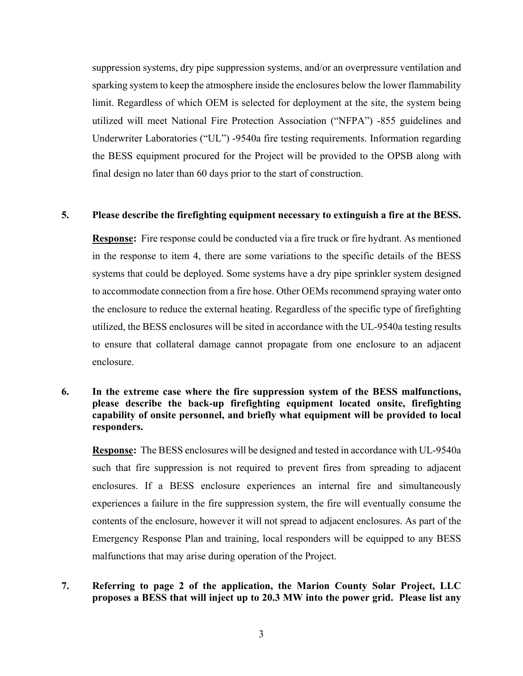suppression systems, dry pipe suppression systems, and/or an overpressure ventilation and sparking system to keep the atmosphere inside the enclosures below the lower flammability limit. Regardless of which OEM is selected for deployment at the site, the system being utilized will meet National Fire Protection Association ("NFPA") -855 guidelines and Underwriter Laboratories ("UL") -9540a fire testing requirements. Information regarding the BESS equipment procured for the Project will be provided to the OPSB along with final design no later than 60 days prior to the start of construction.

#### **5. Please describe the firefighting equipment necessary to extinguish a fire at the BESS.**

**Response:** Fire response could be conducted via a fire truck or fire hydrant. As mentioned in the response to item 4, there are some variations to the specific details of the BESS systems that could be deployed. Some systems have a dry pipe sprinkler system designed to accommodate connection from a fire hose. Other OEMs recommend spraying water onto the enclosure to reduce the external heating. Regardless of the specific type of firefighting utilized, the BESS enclosures will be sited in accordance with the UL-9540a testing results to ensure that collateral damage cannot propagate from one enclosure to an adjacent enclosure.

**6. In the extreme case where the fire suppression system of the BESS malfunctions, please describe the back-up firefighting equipment located onsite, firefighting capability of onsite personnel, and briefly what equipment will be provided to local responders.** 

**Response:** The BESS enclosures will be designed and tested in accordance with UL-9540a such that fire suppression is not required to prevent fires from spreading to adjacent enclosures. If a BESS enclosure experiences an internal fire and simultaneously experiences a failure in the fire suppression system, the fire will eventually consume the contents of the enclosure, however it will not spread to adjacent enclosures. As part of the Emergency Response Plan and training, local responders will be equipped to any BESS malfunctions that may arise during operation of the Project.

# **7. Referring to page 2 of the application, the Marion County Solar Project, LLC proposes a BESS that will inject up to 20.3 MW into the power grid. Please list any**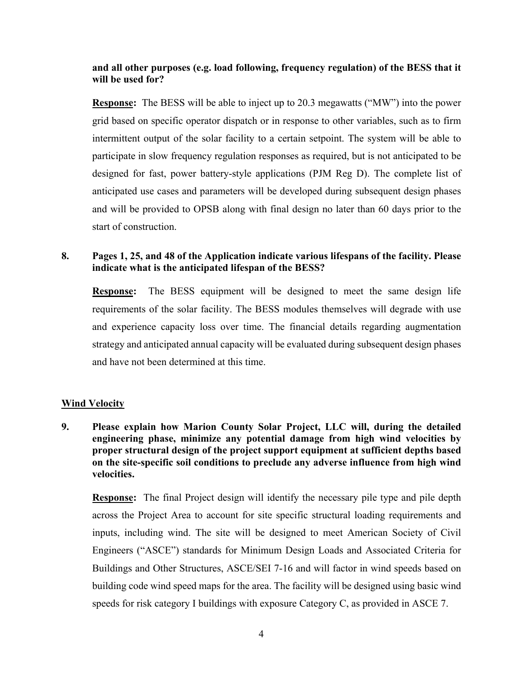# **and all other purposes (e.g. load following, frequency regulation) of the BESS that it will be used for?**

**Response:** The BESS will be able to inject up to 20.3 megawatts ("MW") into the power grid based on specific operator dispatch or in response to other variables, such as to firm intermittent output of the solar facility to a certain setpoint. The system will be able to participate in slow frequency regulation responses as required, but is not anticipated to be designed for fast, power battery-style applications (PJM Reg D). The complete list of anticipated use cases and parameters will be developed during subsequent design phases and will be provided to OPSB along with final design no later than 60 days prior to the start of construction.

# **8. Pages 1, 25, and 48 of the Application indicate various lifespans of the facility. Please indicate what is the anticipated lifespan of the BESS?**

**Response:** The BESS equipment will be designed to meet the same design life requirements of the solar facility. The BESS modules themselves will degrade with use and experience capacity loss over time. The financial details regarding augmentation strategy and anticipated annual capacity will be evaluated during subsequent design phases and have not been determined at this time.

#### **Wind Velocity**

**9. Please explain how Marion County Solar Project, LLC will, during the detailed engineering phase, minimize any potential damage from high wind velocities by proper structural design of the project support equipment at sufficient depths based on the site-specific soil conditions to preclude any adverse influence from high wind velocities.** 

**Response:** The final Project design will identify the necessary pile type and pile depth across the Project Area to account for site specific structural loading requirements and inputs, including wind. The site will be designed to meet American Society of Civil Engineers ("ASCE") standards for Minimum Design Loads and Associated Criteria for Buildings and Other Structures, ASCE/SEI 7-16 and will factor in wind speeds based on building code wind speed maps for the area. The facility will be designed using basic wind speeds for risk category I buildings with exposure Category C, as provided in ASCE 7.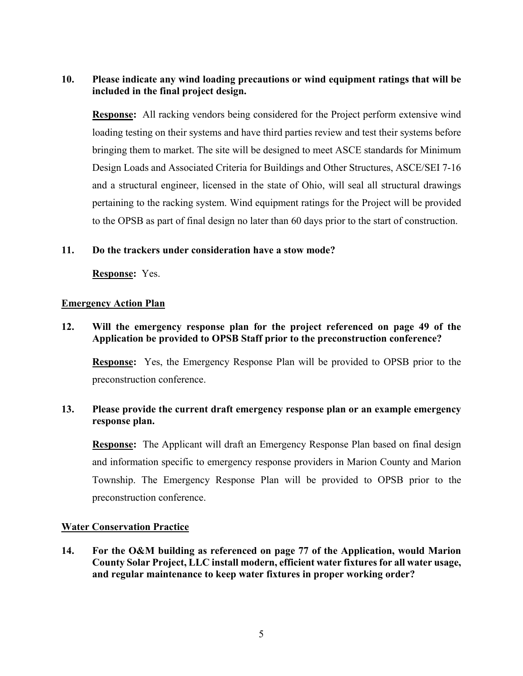# **10. Please indicate any wind loading precautions or wind equipment ratings that will be included in the final project design.**

**Response:** All racking vendors being considered for the Project perform extensive wind loading testing on their systems and have third parties review and test their systems before bringing them to market. The site will be designed to meet ASCE standards for Minimum Design Loads and Associated Criteria for Buildings and Other Structures, ASCE/SEI 7-16 and a structural engineer, licensed in the state of Ohio, will seal all structural drawings pertaining to the racking system. Wind equipment ratings for the Project will be provided to the OPSB as part of final design no later than 60 days prior to the start of construction.

### **11. Do the trackers under consideration have a stow mode?**

**Response:** Yes.

#### **Emergency Action Plan**

## **12. Will the emergency response plan for the project referenced on page 49 of the Application be provided to OPSB Staff prior to the preconstruction conference?**

**Response:** Yes, the Emergency Response Plan will be provided to OPSB prior to the preconstruction conference.

# **13. Please provide the current draft emergency response plan or an example emergency response plan.**

**Response:** The Applicant will draft an Emergency Response Plan based on final design and information specific to emergency response providers in Marion County and Marion Township. The Emergency Response Plan will be provided to OPSB prior to the preconstruction conference.

#### **Water Conservation Practice**

**14. For the O&M building as referenced on page 77 of the Application, would Marion County Solar Project, LLC install modern, efficient water fixtures for all water usage, and regular maintenance to keep water fixtures in proper working order?**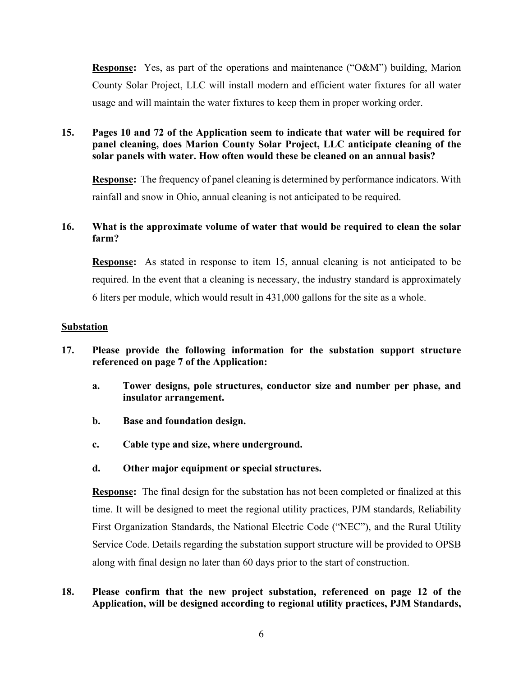**Response:** Yes, as part of the operations and maintenance ("O&M") building, Marion County Solar Project, LLC will install modern and efficient water fixtures for all water usage and will maintain the water fixtures to keep them in proper working order.

**15. Pages 10 and 72 of the Application seem to indicate that water will be required for panel cleaning, does Marion County Solar Project, LLC anticipate cleaning of the solar panels with water. How often would these be cleaned on an annual basis?** 

**Response:** The frequency of panel cleaning is determined by performance indicators. With rainfall and snow in Ohio, annual cleaning is not anticipated to be required.

# **16. What is the approximate volume of water that would be required to clean the solar farm?**

**Response:** As stated in response to item 15, annual cleaning is not anticipated to be required. In the event that a cleaning is necessary, the industry standard is approximately 6 liters per module, which would result in 431,000 gallons for the site as a whole.

### **Substation**

- **17. Please provide the following information for the substation support structure referenced on page 7 of the Application:** 
	- **a. Tower designs, pole structures, conductor size and number per phase, and insulator arrangement.**
	- **b. Base and foundation design.**
	- **c. Cable type and size, where underground.**
	- **d. Other major equipment or special structures.**

**Response:** The final design for the substation has not been completed or finalized at this time. It will be designed to meet the regional utility practices, PJM standards, Reliability First Organization Standards, the National Electric Code ("NEC"), and the Rural Utility Service Code. Details regarding the substation support structure will be provided to OPSB along with final design no later than 60 days prior to the start of construction.

## **18. Please confirm that the new project substation, referenced on page 12 of the Application, will be designed according to regional utility practices, PJM Standards,**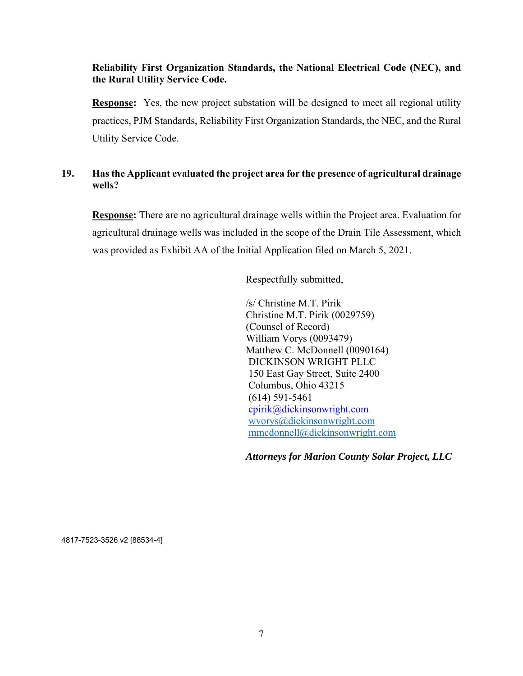## **Reliability First Organization Standards, the National Electrical Code (NEC), and the Rural Utility Service Code.**

**Response:** Yes, the new project substation will be designed to meet all regional utility practices, PJM Standards, Reliability First Organization Standards, the NEC, and the Rural Utility Service Code.

# **19. Has the Applicant evaluated the project area for the presence of agricultural drainage wells?**

 **Response:** There are no agricultural drainage wells within the Project area. Evaluation for agricultural drainage wells was included in the scope of the Drain Tile Assessment, which was provided as Exhibit AA of the Initial Application filed on March 5, 2021.

Respectfully submitted,

/s/ Christine M.T. Pirik Christine M.T. Pirik (0029759) (Counsel of Record) William Vorys (0093479) Matthew C. McDonnell (0090164) DICKINSON WRIGHT PLLC 150 East Gay Street, Suite 2400 Columbus, Ohio 43215 (614) 591-5461 cpirik@dickinsonwright.com wvorys@dickinsonwright.com mmcdonnell@dickinsonwright.com

*Attorneys for Marion County Solar Project, LLC* 

4817-7523-3526 v2 [88534-4]